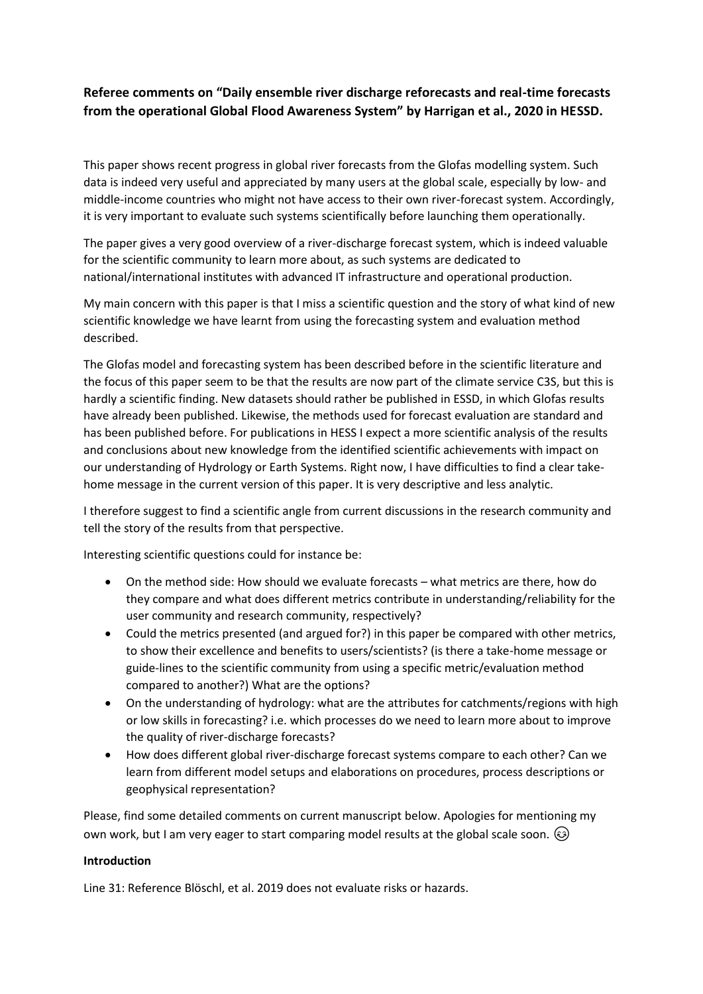## **Referee comments on "Daily ensemble river discharge reforecasts and real-time forecasts from the operational Global Flood Awareness System" by Harrigan et al., 2020 in HESSD.**

This paper shows recent progress in global river forecasts from the Glofas modelling system. Such data is indeed very useful and appreciated by many users at the global scale, especially by low- and middle-income countries who might not have access to their own river-forecast system. Accordingly, it is very important to evaluate such systems scientifically before launching them operationally.

The paper gives a very good overview of a river-discharge forecast system, which is indeed valuable for the scientific community to learn more about, as such systems are dedicated to national/international institutes with advanced IT infrastructure and operational production.

My main concern with this paper is that I miss a scientific question and the story of what kind of new scientific knowledge we have learnt from using the forecasting system and evaluation method described.

The Glofas model and forecasting system has been described before in the scientific literature and the focus of this paper seem to be that the results are now part of the climate service C3S, but this is hardly a scientific finding. New datasets should rather be published in ESSD, in which Glofas results have already been published. Likewise, the methods used for forecast evaluation are standard and has been published before. For publications in HESS I expect a more scientific analysis of the results and conclusions about new knowledge from the identified scientific achievements with impact on our understanding of Hydrology or Earth Systems. Right now, I have difficulties to find a clear takehome message in the current version of this paper. It is very descriptive and less analytic.

I therefore suggest to find a scientific angle from current discussions in the research community and tell the story of the results from that perspective.

Interesting scientific questions could for instance be:

- On the method side: How should we evaluate forecasts what metrics are there, how do they compare and what does different metrics contribute in understanding/reliability for the user community and research community, respectively?
- Could the metrics presented (and argued for?) in this paper be compared with other metrics, to show their excellence and benefits to users/scientists? (is there a take-home message or guide-lines to the scientific community from using a specific metric/evaluation method compared to another?) What are the options?
- On the understanding of hydrology: what are the attributes for catchments/regions with high or low skills in forecasting? i.e. which processes do we need to learn more about to improve the quality of river-discharge forecasts?
- How does different global river-discharge forecast systems compare to each other? Can we learn from different model setups and elaborations on procedures, process descriptions or geophysical representation?

Please, find some detailed comments on current manuscript below. Apologies for mentioning my own work, but I am very eager to start comparing model results at the global scale soon.  $\circledast$ 

## **Introduction**

Line 31: Reference Blöschl, et al. 2019 does not evaluate risks or hazards.